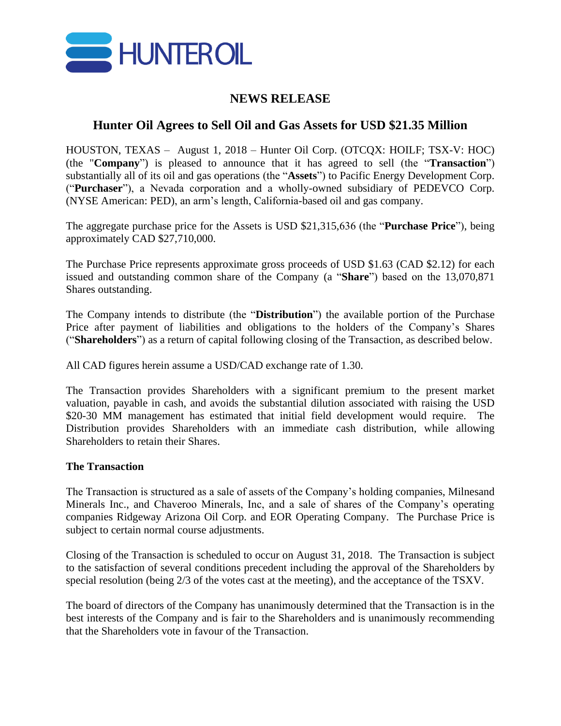

## **NEWS RELEASE**

# **Hunter Oil Agrees to Sell Oil and Gas Assets for USD \$21.35 Million**

HOUSTON, TEXAS – August 1, 2018 – Hunter Oil Corp. (OTCQX: HOILF; TSX-V: HOC) (the "**Company**") is pleased to announce that it has agreed to sell (the "**Transaction**") substantially all of its oil and gas operations (the "**Assets**") to Pacific Energy Development Corp. ("**Purchaser**"), a Nevada corporation and a wholly-owned subsidiary of PEDEVCO Corp. (NYSE American: PED), an arm's length, California-based oil and gas company.

The aggregate purchase price for the Assets is USD \$21,315,636 (the "**Purchase Price**"), being approximately CAD \$27,710,000.

The Purchase Price represents approximate gross proceeds of USD \$1.63 (CAD \$2.12) for each issued and outstanding common share of the Company (a "**Share**") based on the 13,070,871 Shares outstanding.

The Company intends to distribute (the "**Distribution**") the available portion of the Purchase Price after payment of liabilities and obligations to the holders of the Company's Shares ("**Shareholders**") as a return of capital following closing of the Transaction, as described below.

All CAD figures herein assume a USD/CAD exchange rate of 1.30.

The Transaction provides Shareholders with a significant premium to the present market valuation, payable in cash, and avoids the substantial dilution associated with raising the USD \$20-30 MM management has estimated that initial field development would require. The Distribution provides Shareholders with an immediate cash distribution, while allowing Shareholders to retain their Shares.

#### **The Transaction**

The Transaction is structured as a sale of assets of the Company's holding companies, Milnesand Minerals Inc., and Chaveroo Minerals, Inc, and a sale of shares of the Company's operating companies Ridgeway Arizona Oil Corp. and EOR Operating Company. The Purchase Price is subject to certain normal course adjustments.

Closing of the Transaction is scheduled to occur on August 31, 2018. The Transaction is subject to the satisfaction of several conditions precedent including the approval of the Shareholders by special resolution (being 2/3 of the votes cast at the meeting), and the acceptance of the TSXV.

The board of directors of the Company has unanimously determined that the Transaction is in the best interests of the Company and is fair to the Shareholders and is unanimously recommending that the Shareholders vote in favour of the Transaction.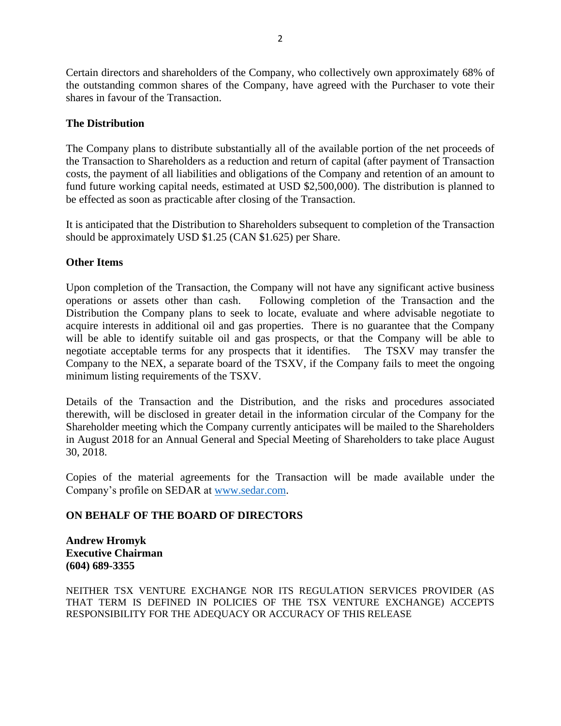Certain directors and shareholders of the Company, who collectively own approximately 68% of the outstanding common shares of the Company, have agreed with the Purchaser to vote their shares in favour of the Transaction.

### **The Distribution**

The Company plans to distribute substantially all of the available portion of the net proceeds of the Transaction to Shareholders as a reduction and return of capital (after payment of Transaction costs, the payment of all liabilities and obligations of the Company and retention of an amount to fund future working capital needs, estimated at USD \$2,500,000). The distribution is planned to be effected as soon as practicable after closing of the Transaction.

It is anticipated that the Distribution to Shareholders subsequent to completion of the Transaction should be approximately USD \$1.25 (CAN \$1.625) per Share.

#### **Other Items**

Upon completion of the Transaction, the Company will not have any significant active business operations or assets other than cash. Following completion of the Transaction and the Distribution the Company plans to seek to locate, evaluate and where advisable negotiate to acquire interests in additional oil and gas properties. There is no guarantee that the Company will be able to identify suitable oil and gas prospects, or that the Company will be able to negotiate acceptable terms for any prospects that it identifies. The TSXV may transfer the Company to the NEX, a separate board of the TSXV, if the Company fails to meet the ongoing minimum listing requirements of the TSXV.

Details of the Transaction and the Distribution, and the risks and procedures associated therewith, will be disclosed in greater detail in the information circular of the Company for the Shareholder meeting which the Company currently anticipates will be mailed to the Shareholders in August 2018 for an Annual General and Special Meeting of Shareholders to take place August 30, 2018.

Copies of the material agreements for the Transaction will be made available under the Company's profile on SEDAR at [www.sedar.com.](http://www.sedar.com/)

## **ON BEHALF OF THE BOARD OF DIRECTORS**

**Andrew Hromyk Executive Chairman (604) 689-3355**

NEITHER TSX VENTURE EXCHANGE NOR ITS REGULATION SERVICES PROVIDER (AS THAT TERM IS DEFINED IN POLICIES OF THE TSX VENTURE EXCHANGE) ACCEPTS RESPONSIBILITY FOR THE ADEQUACY OR ACCURACY OF THIS RELEASE